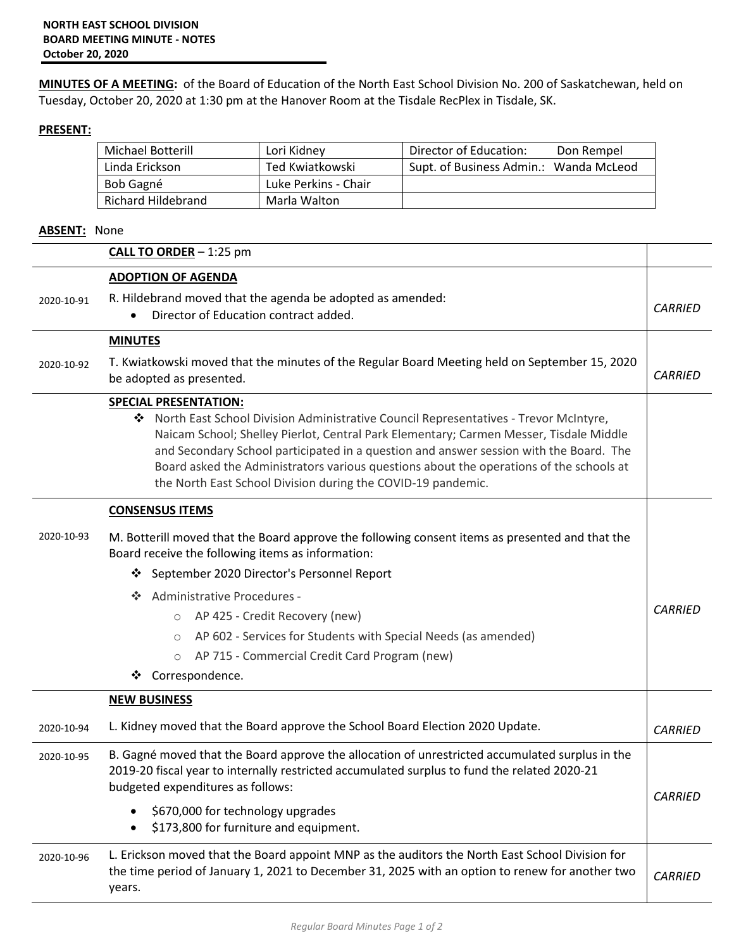**MINUTES OF A MEETING:** of the Board of Education of the North East School Division No. 200 of Saskatchewan, held on Tuesday, October 20, 2020 at 1:30 pm at the Hanover Room at the Tisdale RecPlex in Tisdale, SK.

## **PRESENT:**

| Michael Botterill  | Lori Kidney          | Director of Education:<br>Don Rempel   |
|--------------------|----------------------|----------------------------------------|
| Linda Erickson     | Ted Kwiatkowski      | Supt. of Business Admin.: Wanda McLeod |
| Bob Gagné          | Luke Perkins - Chair |                                        |
| Richard Hildebrand | Marla Walton         |                                        |

## **ABSENT:** None

|            | <b>CALL TO ORDER</b> $-1:25$ pm                                                                                                                                                                                                                                                                                                                                                                                                       |                |
|------------|---------------------------------------------------------------------------------------------------------------------------------------------------------------------------------------------------------------------------------------------------------------------------------------------------------------------------------------------------------------------------------------------------------------------------------------|----------------|
|            | <b>ADOPTION OF AGENDA</b>                                                                                                                                                                                                                                                                                                                                                                                                             |                |
| 2020-10-91 | R. Hildebrand moved that the agenda be adopted as amended:<br>Director of Education contract added.                                                                                                                                                                                                                                                                                                                                   | <b>CARRIED</b> |
|            | <b>MINUTES</b>                                                                                                                                                                                                                                                                                                                                                                                                                        |                |
| 2020-10-92 | T. Kwiatkowski moved that the minutes of the Regular Board Meeting held on September 15, 2020<br>be adopted as presented.                                                                                                                                                                                                                                                                                                             | <b>CARRIED</b> |
|            | <b>SPECIAL PRESENTATION:</b>                                                                                                                                                                                                                                                                                                                                                                                                          |                |
|            | ◆ North East School Division Administrative Council Representatives - Trevor McIntyre,<br>Naicam School; Shelley Pierlot, Central Park Elementary; Carmen Messer, Tisdale Middle<br>and Secondary School participated in a question and answer session with the Board. The<br>Board asked the Administrators various questions about the operations of the schools at<br>the North East School Division during the COVID-19 pandemic. |                |
|            | <b>CONSENSUS ITEMS</b>                                                                                                                                                                                                                                                                                                                                                                                                                |                |
| 2020-10-93 | M. Botterill moved that the Board approve the following consent items as presented and that the<br>Board receive the following items as information:                                                                                                                                                                                                                                                                                  |                |
|            | September 2020 Director's Personnel Report<br>❖                                                                                                                                                                                                                                                                                                                                                                                       |                |
|            | Administrative Procedures -<br><b>SALE</b>                                                                                                                                                                                                                                                                                                                                                                                            |                |
|            | AP 425 - Credit Recovery (new)<br>$\circ$                                                                                                                                                                                                                                                                                                                                                                                             | <b>CARRIED</b> |
|            | AP 602 - Services for Students with Special Needs (as amended)<br>$\circ$                                                                                                                                                                                                                                                                                                                                                             |                |
|            | AP 715 - Commercial Credit Card Program (new)<br>$\circ$                                                                                                                                                                                                                                                                                                                                                                              |                |
|            | Correspondence.<br>❖                                                                                                                                                                                                                                                                                                                                                                                                                  |                |
|            | <b>NEW BUSINESS</b>                                                                                                                                                                                                                                                                                                                                                                                                                   |                |
| 2020-10-94 | L. Kidney moved that the Board approve the School Board Election 2020 Update.                                                                                                                                                                                                                                                                                                                                                         | <b>CARRIED</b> |
| 2020-10-95 | B. Gagné moved that the Board approve the allocation of unrestricted accumulated surplus in the                                                                                                                                                                                                                                                                                                                                       |                |
|            | 2019-20 fiscal year to internally restricted accumulated surplus to fund the related 2020-21                                                                                                                                                                                                                                                                                                                                          |                |
|            | budgeted expenditures as follows:                                                                                                                                                                                                                                                                                                                                                                                                     | <b>CARRIED</b> |
|            | \$670,000 for technology upgrades<br>\$173,800 for furniture and equipment.                                                                                                                                                                                                                                                                                                                                                           |                |
|            | $\bullet$                                                                                                                                                                                                                                                                                                                                                                                                                             |                |
| 2020-10-96 | L. Erickson moved that the Board appoint MNP as the auditors the North East School Division for<br>the time period of January 1, 2021 to December 31, 2025 with an option to renew for another two<br>years.                                                                                                                                                                                                                          | <b>CARRIED</b> |